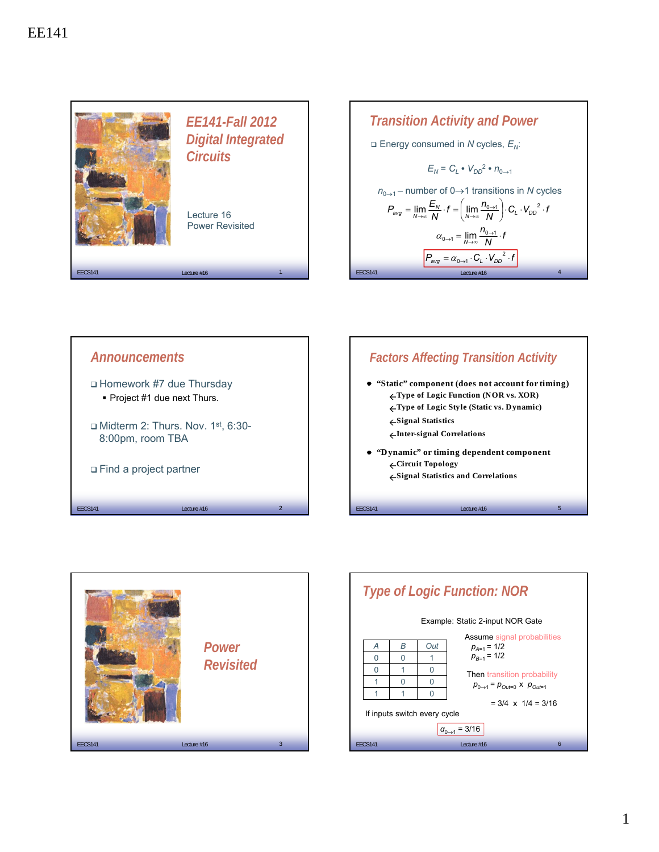









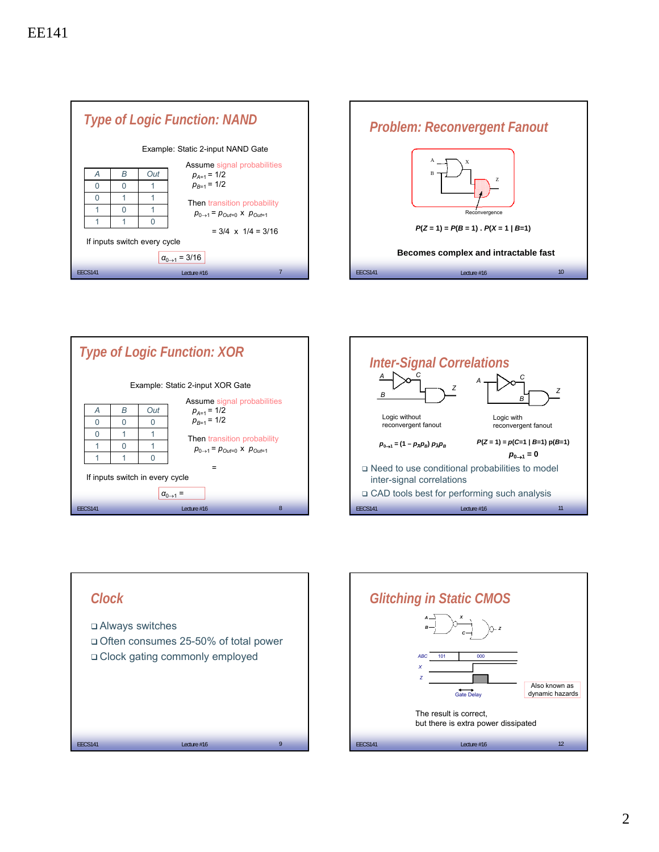









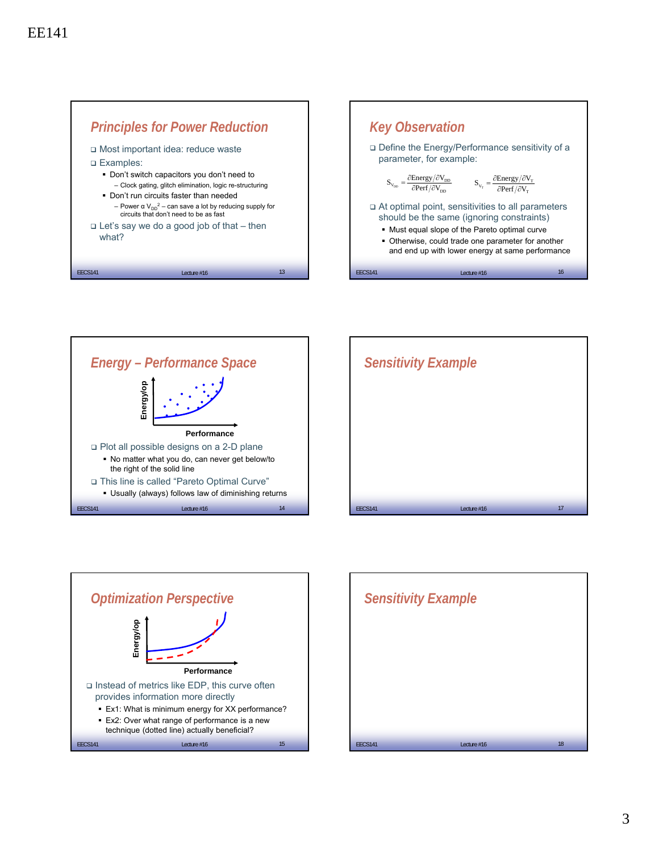